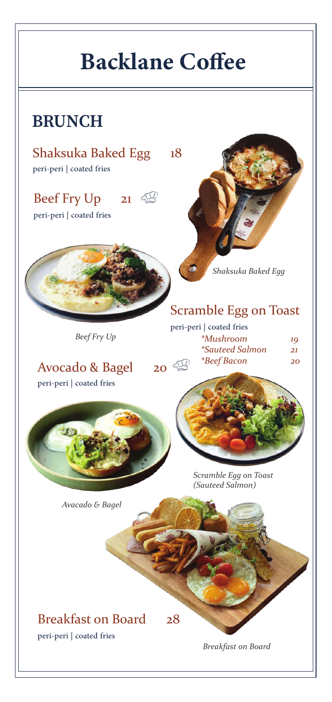# **Backlane Coffee**

## **BRUNCH**

Shaksuka Baked Egg 18 peri-peri | coated fries

Beef Fry Up 21 peri-peri | coated fries



*Beef Fry Up*

*Shaksuka Baked Egg*

### Scramble Egg on Toast

| peri-peri   coated fries |    |
|--------------------------|----|
| <i>*Mushroom</i>         | 10 |
| <i>*Sauteed Salmon</i>   | 21 |
| <i>*Beef Bacon</i>       | 2C |

**Avocado & Bagel 20** peri-peri | coated fries





*Scramble Egg on Toast (Sauteed Salmon)*

*Avacado & Bagel*

Breakfast on Board 28 peri-peri | coated fries

*Breakfast on Board*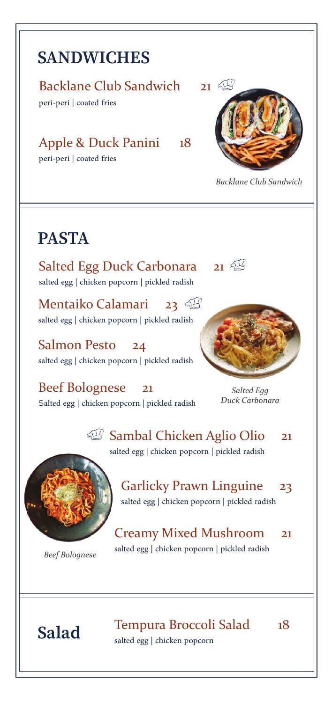## **SANDWICHES**

#### Backlane Club Sandwich 21

peri-peri | coated fries

Apple & Duck Panini 18 peri-peri | coated fries



*Backlane Club Sandwich*

## **PASTA**

Salted Egg Duck Carbonara 21 salted egg | chicken popcorn | pickled radish

Mentaiko Calamari 23 salted egg | chicken popcorn | pickled radish

Salmon Pesto 24 salted egg | chicken popcorn | pickled radish

Beef Bolognese 21 salted egg | chicken popcorn | pickled radish





*Salted Egg Duck Carbonara*

 $\mathbb{Z}$ Sambal Chicken Aglio Olio 21 salted egg | chicken popcorn | pickled radish



*Beef Bolognese*

Garlicky Prawn Linguine 23 salted egg | chicken popcorn | pickled radish

Creamy Mixed Mushroom 21 salted egg | chicken popcorn | pickled radish

Salad Tempura Broccoli Salad 18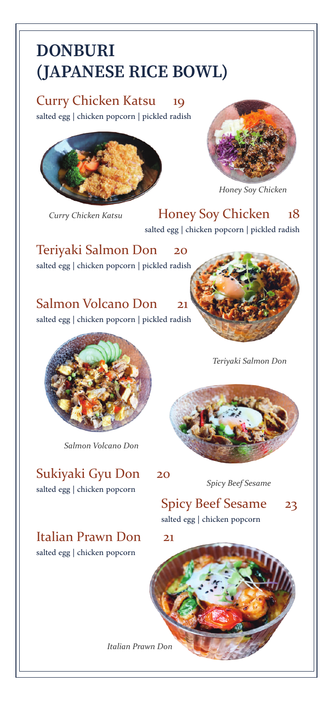## **DONBURI** (JAPANESE RICE BOWL)

Curry Chicken Katsu 19 salted egg | chicken popcorn | pickled radish



*Curry Chicken Katsu*



*Honey Soy Chicken*

Honey Soy Chicken 18 salted egg | chicken popcorn | pickled radish

Teriyaki Salmon Don 20 salted egg | chicken popcorn | pickled radish

### Salmon Volcano Don 21

salted egg | chicken popcorn | pickled radish



*Salmon Volcano Don*

Sukiyaki Gyu Don 20 salted egg | chicken popcorn

Italian Prawn Don 21 salted egg | chicken popcorn

*Teriyaki Salmon Don*



*Spicy Beef Sesame*

### Spicy Beef Sesame 23 salted egg | chicken popcorn

*Italian Prawn Don*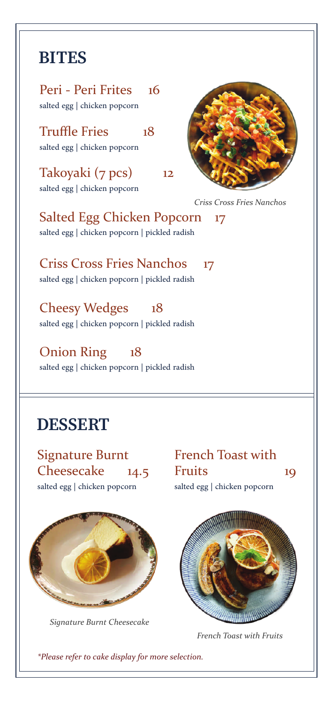### **BITES**

Peri - Peri Frites 16 salted egg | chicken popcorn

Truffle Fries 18 salted egg | chicken popcorn

Takoyaki (7 pcs) 12 salted egg | chicken popcorn



*Criss Cross Fries Nanchos*

Salted Egg Chicken Popcorn 17 salted egg | chicken popcorn | pickled radish

Criss Cross Fries Nanchos 17 salted egg | chicken popcorn | pickled radish

Cheesy Wedges 18 salted egg | chicken popcorn | pickled radish

Onion Ring 18 salted egg | chicken popcorn | pickled radish

### **DESSERT**

Signature Burnt Cheesecake 14.5 salted egg | chicken popcorn



*Signature Burnt Cheesecake*

French Toast with Fruits 19 salted egg | chicken popcorn



*French Toast with Fruits*

*\*Please refer to cake display for more selection.*